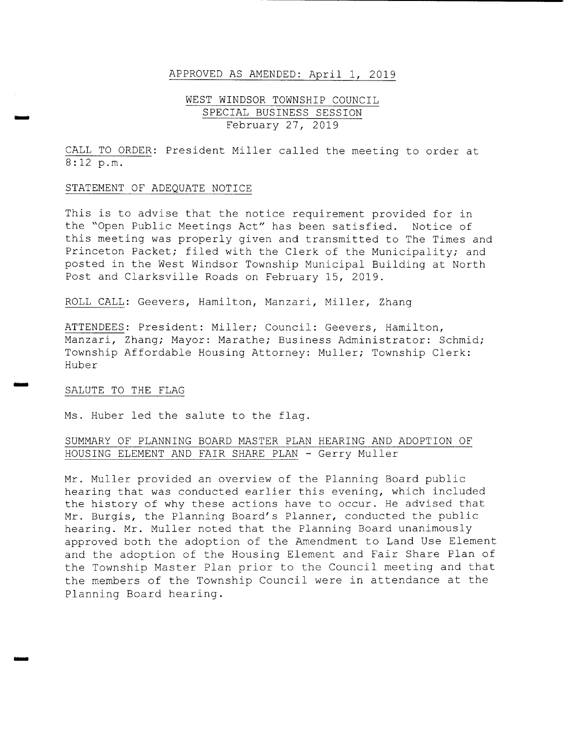### APPROVED AS AMENDED: April 1, 2019

# WEST WINDSOR TOWNSHIP COUNCIL SPECIAL BUSINESS SESSION February 27, 2019

CALL TO ORDER: President Miller called the meeting to order at 8 : 12 p. m.

### STATEMENT OF ADEQUATE NOTICE

This is to advise that the notice requirement provided for in the "Open Public Meetings Act" has been satisfied. Notice of this meeting was properly given and transmitted to The Times and Princeton Packet; filed with the Clerk of the Municipality; and posted in the West Windsor Township Municipal Building at North Post and Clarksville Roads on February 15, 2019 .

ROLL CALL: Geevers, Hamilton, Manzari, Miller, Zhang

ATTENDEES: President: Miller; Council: Geevers, Hamilton, Manzari, Zhang; Mayor: Marathe; Business Administrator: Schmid; Township Affordable Housing Attorney: Muller; Township Clerk: Huber

### SALUTE TO THE FLAG

moo

Ms. Huber led the salute to the flag.

# SUMMARY OF PLANNING BOARD MASTER PLAN HEARING AND ADOPTION OF HOUSING ELEMENT AND FAIR SHARE PLAN - Gerry Muller

Mr. Muller provided an overview of the Planning Board public hearing that was conducted earlier this evening, which included the history of why these actions have to occur. He advised that Mr. Burgis, the Planning Board's Planner, conducted the public hearing. Mr. Muller noted that the Planning Board unanimously approved both the adoption of the Amendment to Land Use Element and the adoption of the Housing Element and Fair Share Plan of the Township Master Plan prior to the Council meeting and that the members of the Township Council were in attendance at the Planning Board hearing .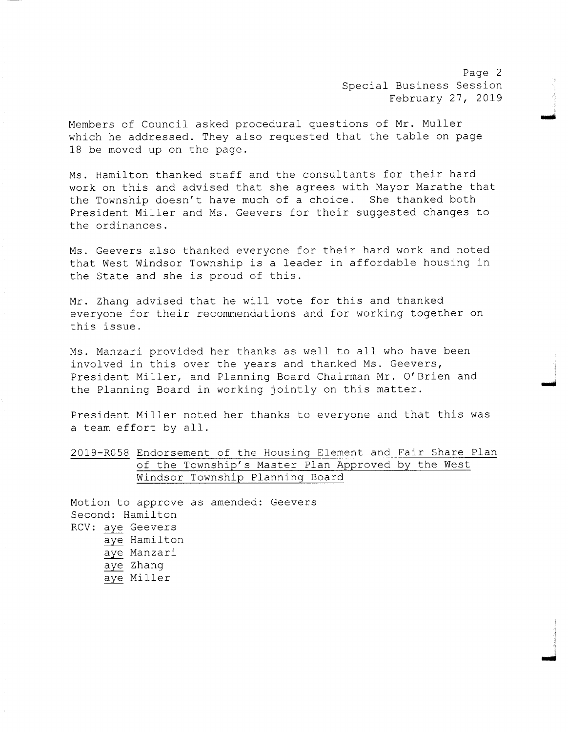Page 2 Special Business Session February 27, 2019

moo

mow

Members of Council asked procedural questions of Mr. Muller which he addressed. They also requested that the table on page 18 be moved up on the page.

Ms . Hamilton thanked staff and the consultants for their hard work on this and advised that she agrees with Mayor Marathe that the Township doesn't have much of a choice. She thanked both President Miller and Ms. Geevers for their suggested changes to the ordinances .

Ms . Geevers also thanked everyone for their hard work and noted that West Windsor Township is <sup>a</sup> leader in affordable housing in the State and she is proud of this .

Mr. Zhang advised that he will vote for this and thanked everyone for their recommendations and for working together on this issue .

Ms. Manzari provided her thanks as well to all who have been involved in this over the years and thanked Ms. Geevers, President Miller, and Planning Board Chairman Mr. O' Brien and the Planning Board in working jointly on this matter.

President Miller noted her thanks to everyone and that this was a team effort by all.

2019- R058 Endorsement of the Housing Element and Fair Share Plan of the Township' s Master Plan Approved by the West Windsor Township Planning Board

Motion to approve as amended: Geevers Second: Hamilton RCV: aye Geevers aye Hamilton aye Manzari aye Zhang aye Miller